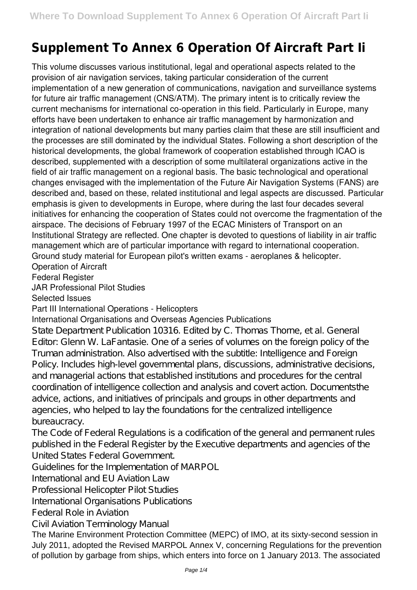## **Supplement To Annex 6 Operation Of Aircraft Part Ii**

This volume discusses various institutional, legal and operational aspects related to the provision of air navigation services, taking particular consideration of the current implementation of a new generation of communications, navigation and surveillance systems for future air traffic management (CNS/ATM). The primary intent is to critically review the current mechanisms for international co-operation in this field. Particularly in Europe, many efforts have been undertaken to enhance air traffic management by harmonization and integration of national developments but many parties claim that these are still insufficient and the processes are still dominated by the individual States. Following a short description of the historical developments, the global framework of cooperation established through ICAO is described, supplemented with a description of some multilateral organizations active in the field of air traffic management on a regional basis. The basic technological and operational changes envisaged with the implementation of the Future Air Navigation Systems (FANS) are described and, based on these, related institutional and legal aspects are discussed. Particular emphasis is given to developments in Europe, where during the last four decades several initiatives for enhancing the cooperation of States could not overcome the fragmentation of the airspace. The decisions of February 1997 of the ECAC Ministers of Transport on an Institutional Strategy are reflected. One chapter is devoted to questions of liability in air traffic management which are of particular importance with regard to international cooperation. Ground study material for European pilot's written exams - aeroplanes & helicopter.

Operation of Aircraft

Federal Register

JAR Professional Pilot Studies

Selected Issues

Part III International Operations - Helicopters

## International Organisations and Overseas Agencies Publications

State Department Publication 10316. Edited by C. Thomas Thorne, et al. General Editor: Glenn W. LaFantasie. One of a series of volumes on the foreign policy of the Truman administration. Also advertised with the subtitle: Intelligence and Foreign Policy. Includes high-level governmental plans, discussions, administrative decisions, and managerial actions that established institutions and procedures for the central coordination of intelligence collection and analysis and covert action. Documentsthe advice, actions, and initiatives of principals and groups in other departments and agencies, who helped to lay the foundations for the centralized intelligence bureaucracy.

The Code of Federal Regulations is a codification of the general and permanent rules published in the Federal Register by the Executive departments and agencies of the United States Federal Government.

Guidelines for the Implementation of MARPOL

International and EU Aviation Law

Professional Helicopter Pilot Studies

International Organisations Publications

Federal Role in Aviation

Civil Aviation Terminology Manual

The Marine Environment Protection Committee (MEPC) of IMO, at its sixty-second session in July 2011, adopted the Revised MARPOL Annex V, concerning Regulations for the prevention of pollution by garbage from ships, which enters into force on 1 January 2013. The associated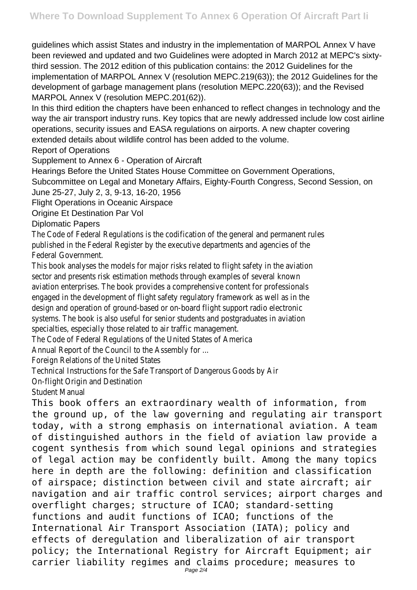guidelines which assist States and industry in the implementation of MARPOL Annex V have been reviewed and updated and two Guidelines were adopted in March 2012 at MEPC's sixtythird session. The 2012 edition of this publication contains: the 2012 Guidelines for the implementation of MARPOL Annex V (resolution MEPC.219(63)); the 2012 Guidelines for the development of garbage management plans (resolution MEPC.220(63)); and the Revised MARPOL Annex V (resolution MEPC.201(62)).

In this third edition the chapters have been enhanced to reflect changes in technology and the way the air transport industry runs. Key topics that are newly addressed include low cost airline operations, security issues and EASA regulations on airports. A new chapter covering extended details about wildlife control has been added to the volume.

Report of Operations

Supplement to Annex 6 - Operation of Aircraft

Hearings Before the United States House Committee on Government Operations, Subcommittee on Legal and Monetary Affairs, Eighty-Fourth Congress, Second Session, on June 25-27, July 2, 3, 9-13, 16-20, 1956

Flight Operations in Oceanic Airspace

Origine Et Destination Par Vol

Diplomatic Papers

The Code of Federal Regulations is the codification of the general and permanent rules published in the Federal Register by the executive departments and agencies of the Federal Government.

This book analyses the models for major risks related to flight safety in the aviation sector and presents risk estimation methods through examples of several known aviation enterprises. The book provides a comprehensive content for professionals engaged in the development of flight safety regulatory framework as well as in the design and operation of ground-based or on-board flight support radio electronic systems. The book is also useful for senior students and postgraduates in aviation specialties, especially those related to air traffic management.

The Code of Federal Regulations of the United States of America

Annual Report of the Council to the Assembly for ...

Foreign Relations of the United States

Technical Instructions for the Safe Transport of Dangerous Goods by Air

On-flight Origin and Destination

Student Manual

This book offers an extraordinary wealth of information, from the ground up, of the law governing and regulating air transport today, with a strong emphasis on international aviation. A team of distinguished authors in the field of aviation law provide a cogent synthesis from which sound legal opinions and strategies of legal action may be confidently built. Among the many topics here in depth are the following: definition and classification of airspace; distinction between civil and state aircraft; air navigation and air traffic control services; airport charges and overflight charges; structure of ICAO; standard-setting functions and audit functions of ICAO; functions of the International Air Transport Association (IATA); policy and effects of deregulation and liberalization of air transport policy; the International Registry for Aircraft Equipment; air carrier liability regimes and claims procedure; measures to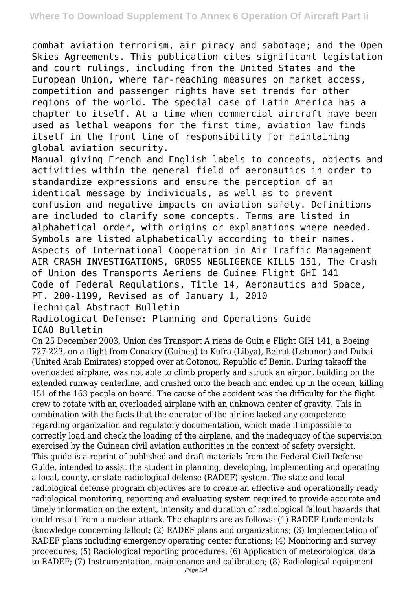combat aviation terrorism, air piracy and sabotage; and the Open Skies Agreements. This publication cites significant legislation and court rulings, including from the United States and the European Union, where far-reaching measures on market access, competition and passenger rights have set trends for other regions of the world. The special case of Latin America has a chapter to itself. At a time when commercial aircraft have been used as lethal weapons for the first time, aviation law finds itself in the front line of responsibility for maintaining global aviation security.

Manual giving French and English labels to concepts, objects and activities within the general field of aeronautics in order to standardize expressions and ensure the perception of an identical message by individuals, as well as to prevent confusion and negative impacts on aviation safety. Definitions are included to clarify some concepts. Terms are listed in alphabetical order, with origins or explanations where needed. Symbols are listed alphabetically according to their names. Aspects of International Cooperation in Air Traffic Management AIR CRASH INVESTIGATIONS, GROSS NEGLIGENCE KILLS 151, The Crash of Union des Transports Aeriens de Guinee Flight GHI 141 Code of Federal Regulations, Title 14, Aeronautics and Space, PT. 200-1199, Revised as of January 1, 2010 Technical Abstract Bulletin

Radiological Defense: Planning and Operations Guide ICAO Bulletin

On 25 December 2003, Union des Transport A riens de Guin e Flight GIH 141, a Boeing 727-223, on a flight from Conakry (Guinea) to Kufra (Libya), Beirut (Lebanon) and Dubai (United Arab Emirates) stopped over at Cotonou, Republic of Benin. During takeoff the overloaded airplane, was not able to climb properly and struck an airport building on the extended runway centerline, and crashed onto the beach and ended up in the ocean, killing 151 of the 163 people on board. The cause of the accident was the difficulty for the flight crew to rotate with an overloaded airplane with an unknown center of gravity. This in combination with the facts that the operator of the airline lacked any competence regarding organization and regulatory documentation, which made it impossible to correctly load and check the loading of the airplane, and the inadequacy of the supervision exercised by the Guinean civil aviation authorities in the context of safety oversight. This guide is a reprint of published and draft materials from the Federal Civil Defense Guide, intended to assist the student in planning, developing, implementing and operating a local, county, or state radiological defense (RADEF) system. The state and local radiological defense program objectives are to create an effective and operationally ready radiological monitoring, reporting and evaluating system required to provide accurate and timely information on the extent, intensity and duration of radiological fallout hazards that could result from a nuclear attack. The chapters are as follows: (1) RADEF fundamentals (knowledge concerning fallout; (2) RADEF plans and organizations; (3) Implementation of RADEF plans including emergency operating center functions; (4) Monitoring and survey procedures; (5) Radiological reporting procedures; (6) Application of meteorological data to RADEF; (7) Instrumentation, maintenance and calibration; (8) Radiological equipment